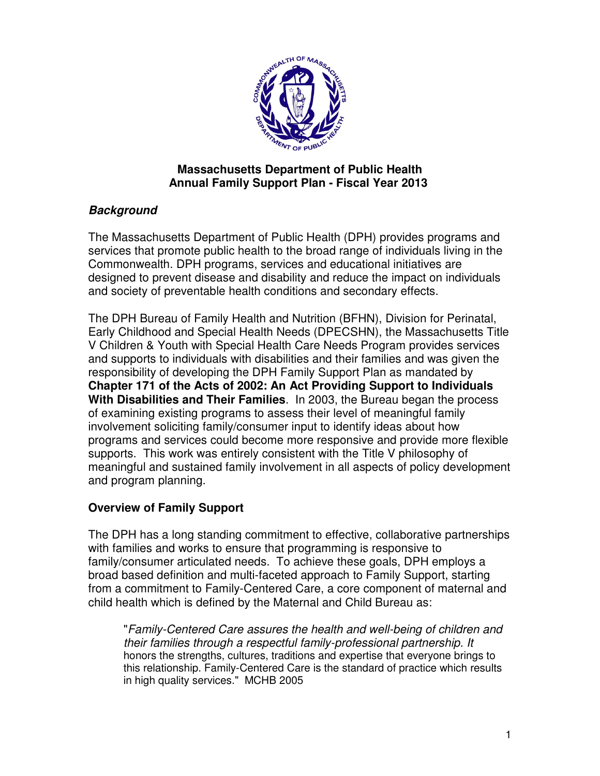

### **Massachusetts Department of Public Health Annual Family Support Plan - Fiscal Year 2013**

# **Background**

The Massachusetts Department of Public Health (DPH) provides programs and services that promote public health to the broad range of individuals living in the Commonwealth. DPH programs, services and educational initiatives are designed to prevent disease and disability and reduce the impact on individuals and society of preventable health conditions and secondary effects.

The DPH Bureau of Family Health and Nutrition (BFHN), Division for Perinatal, Early Childhood and Special Health Needs (DPECSHN), the Massachusetts Title V Children & Youth with Special Health Care Needs Program provides services and supports to individuals with disabilities and their families and was given the responsibility of developing the DPH Family Support Plan as mandated by **Chapter 171 of the Acts of 2002: An Act Providing Support to Individuals With Disabilities and Their Families**. In 2003, the Bureau began the process of examining existing programs to assess their level of meaningful family involvement soliciting family/consumer input to identify ideas about how programs and services could become more responsive and provide more flexible supports. This work was entirely consistent with the Title V philosophy of meaningful and sustained family involvement in all aspects of policy development and program planning.

# **Overview of Family Support**

The DPH has a long standing commitment to effective, collaborative partnerships with families and works to ensure that programming is responsive to family/consumer articulated needs. To achieve these goals, DPH employs a broad based definition and multi-faceted approach to Family Support, starting from a commitment to Family-Centered Care, a core component of maternal and child health which is defined by the Maternal and Child Bureau as:

"Family-Centered Care assures the health and well-being of children and their families through a respectful family-professional partnership. It honors the strengths, cultures, traditions and expertise that everyone brings to this relationship. Family-Centered Care is the standard of practice which results in high quality services." MCHB 2005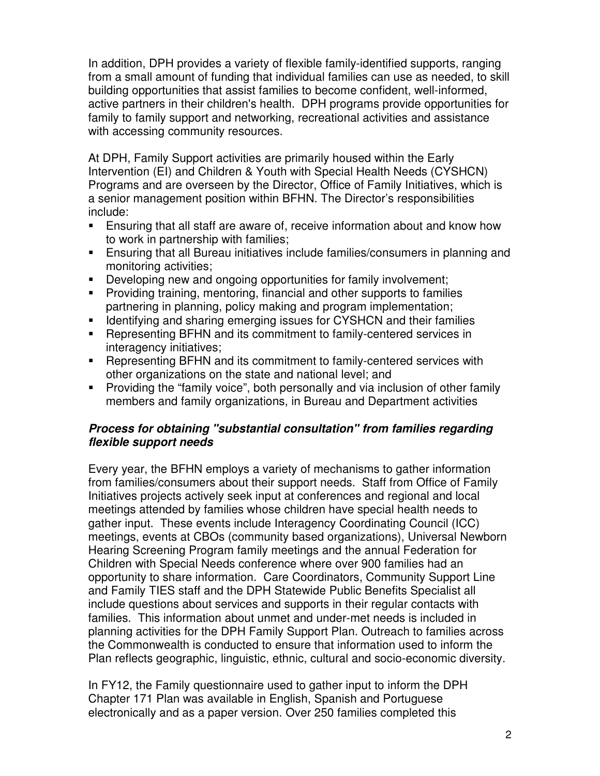In addition, DPH provides a variety of flexible family-identified supports, ranging from a small amount of funding that individual families can use as needed, to skill building opportunities that assist families to become confident, well-informed, active partners in their children's health. DPH programs provide opportunities for family to family support and networking, recreational activities and assistance with accessing community resources.

At DPH, Family Support activities are primarily housed within the Early Intervention (EI) and Children & Youth with Special Health Needs (CYSHCN) Programs and are overseen by the Director, Office of Family Initiatives, which is a senior management position within BFHN. The Director's responsibilities include:

- Ensuring that all staff are aware of, receive information about and know how to work in partnership with families;
- Ensuring that all Bureau initiatives include families/consumers in planning and monitoring activities;
- Developing new and ongoing opportunities for family involvement;
- **Providing training, mentoring, financial and other supports to families** partnering in planning, policy making and program implementation;
- **IDENTIFY 19 Identifying and sharing emerging issues for CYSHCN and their families**
- Representing BFHN and its commitment to family-centered services in interagency initiatives;
- **EXECTERF** Representing BFHN and its commitment to family-centered services with other organizations on the state and national level; and
- **Providing the "family voice", both personally and via inclusion of other family** members and family organizations, in Bureau and Department activities

## **Process for obtaining "substantial consultation" from families regarding flexible support needs**

Every year, the BFHN employs a variety of mechanisms to gather information from families/consumers about their support needs. Staff from Office of Family Initiatives projects actively seek input at conferences and regional and local meetings attended by families whose children have special health needs to gather input. These events include Interagency Coordinating Council (ICC) meetings, events at CBOs (community based organizations), Universal Newborn Hearing Screening Program family meetings and the annual Federation for Children with Special Needs conference where over 900 families had an opportunity to share information. Care Coordinators, Community Support Line and Family TIES staff and the DPH Statewide Public Benefits Specialist all include questions about services and supports in their regular contacts with families. This information about unmet and under-met needs is included in planning activities for the DPH Family Support Plan. Outreach to families across the Commonwealth is conducted to ensure that information used to inform the Plan reflects geographic, linguistic, ethnic, cultural and socio-economic diversity.

In FY12, the Family questionnaire used to gather input to inform the DPH Chapter 171 Plan was available in English, Spanish and Portuguese electronically and as a paper version. Over 250 families completed this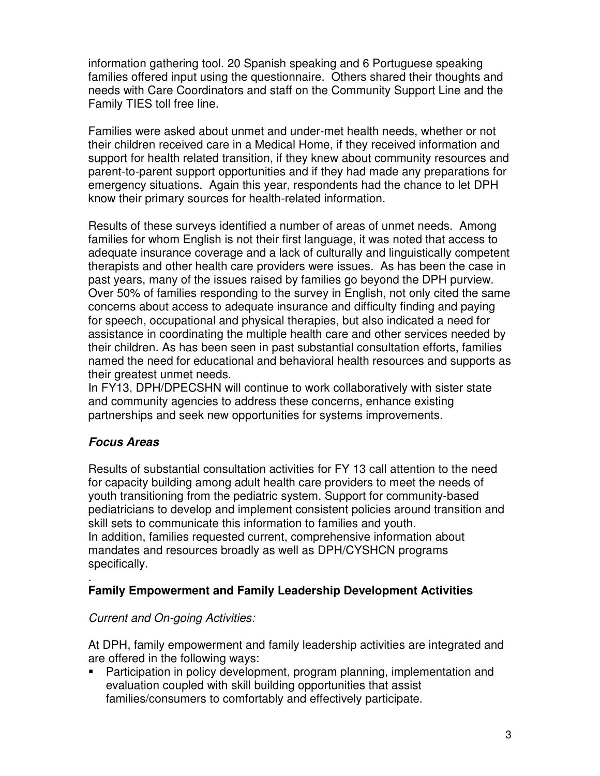information gathering tool. 20 Spanish speaking and 6 Portuguese speaking families offered input using the questionnaire. Others shared their thoughts and needs with Care Coordinators and staff on the Community Support Line and the Family TIES toll free line.

Families were asked about unmet and under-met health needs, whether or not their children received care in a Medical Home, if they received information and support for health related transition, if they knew about community resources and parent-to-parent support opportunities and if they had made any preparations for emergency situations. Again this year, respondents had the chance to let DPH know their primary sources for health-related information.

Results of these surveys identified a number of areas of unmet needs. Among families for whom English is not their first language, it was noted that access to adequate insurance coverage and a lack of culturally and linguistically competent therapists and other health care providers were issues. As has been the case in past years, many of the issues raised by families go beyond the DPH purview. Over 50% of families responding to the survey in English, not only cited the same concerns about access to adequate insurance and difficulty finding and paying for speech, occupational and physical therapies, but also indicated a need for assistance in coordinating the multiple health care and other services needed by their children. As has been seen in past substantial consultation efforts, families named the need for educational and behavioral health resources and supports as their greatest unmet needs.

In FY13, DPH/DPECSHN will continue to work collaboratively with sister state and community agencies to address these concerns, enhance existing partnerships and seek new opportunities for systems improvements.

### **Focus Areas**

Results of substantial consultation activities for FY 13 call attention to the need for capacity building among adult health care providers to meet the needs of youth transitioning from the pediatric system. Support for community-based pediatricians to develop and implement consistent policies around transition and skill sets to communicate this information to families and youth. In addition, families requested current, comprehensive information about mandates and resources broadly as well as DPH/CYSHCN programs specifically.

#### . **Family Empowerment and Family Leadership Development Activities**

### Current and On-going Activities:

At DPH, family empowerment and family leadership activities are integrated and are offered in the following ways:

 Participation in policy development, program planning, implementation and evaluation coupled with skill building opportunities that assist families/consumers to comfortably and effectively participate.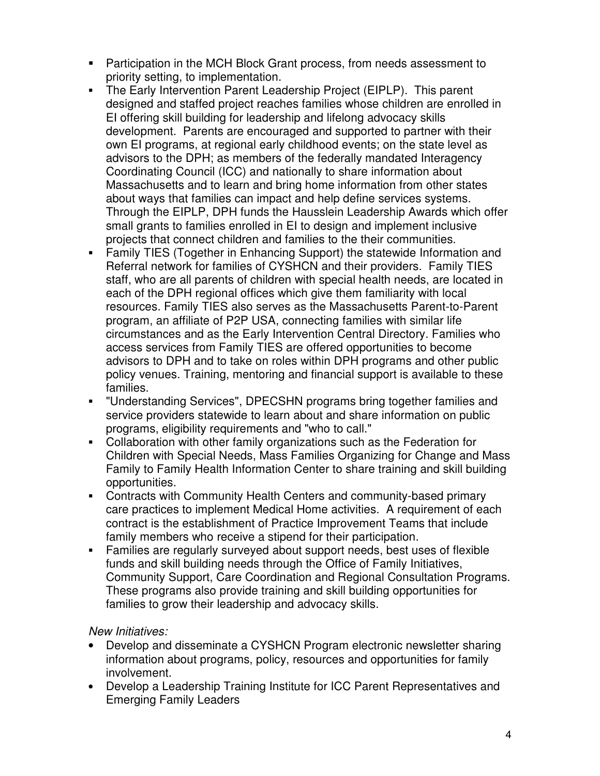- Participation in the MCH Block Grant process, from needs assessment to priority setting, to implementation.
- The Early Intervention Parent Leadership Project (EIPLP). This parent designed and staffed project reaches families whose children are enrolled in EI offering skill building for leadership and lifelong advocacy skills development. Parents are encouraged and supported to partner with their own EI programs, at regional early childhood events; on the state level as advisors to the DPH; as members of the federally mandated Interagency Coordinating Council (ICC) and nationally to share information about Massachusetts and to learn and bring home information from other states about ways that families can impact and help define services systems. Through the EIPLP, DPH funds the Hausslein Leadership Awards which offer small grants to families enrolled in EI to design and implement inclusive projects that connect children and families to the their communities.
- Family TIES (Together in Enhancing Support) the statewide Information and Referral network for families of CYSHCN and their providers. Family TIES staff, who are all parents of children with special health needs, are located in each of the DPH regional offices which give them familiarity with local resources. Family TIES also serves as the Massachusetts Parent-to-Parent program, an affiliate of P2P USA, connecting families with similar life circumstances and as the Early Intervention Central Directory. Families who access services from Family TIES are offered opportunities to become advisors to DPH and to take on roles within DPH programs and other public policy venues. Training, mentoring and financial support is available to these families.
- "Understanding Services", DPECSHN programs bring together families and service providers statewide to learn about and share information on public programs, eligibility requirements and "who to call."
- Collaboration with other family organizations such as the Federation for Children with Special Needs, Mass Families Organizing for Change and Mass Family to Family Health Information Center to share training and skill building opportunities.
- Contracts with Community Health Centers and community-based primary care practices to implement Medical Home activities. A requirement of each contract is the establishment of Practice Improvement Teams that include family members who receive a stipend for their participation.
- Families are regularly surveyed about support needs, best uses of flexible funds and skill building needs through the Office of Family Initiatives, Community Support, Care Coordination and Regional Consultation Programs. These programs also provide training and skill building opportunities for families to grow their leadership and advocacy skills.

### New Initiatives:

- Develop and disseminate a CYSHCN Program electronic newsletter sharing information about programs, policy, resources and opportunities for family involvement.
- Develop a Leadership Training Institute for ICC Parent Representatives and Emerging Family Leaders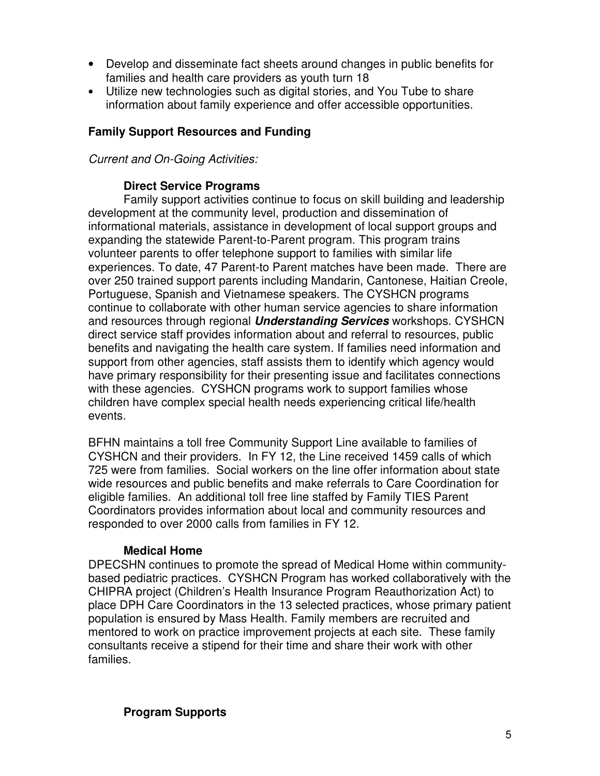- Develop and disseminate fact sheets around changes in public benefits for families and health care providers as youth turn 18
- Utilize new technologies such as digital stories, and You Tube to share information about family experience and offer accessible opportunities.

### **Family Support Resources and Funding**

Current and On-Going Activities:

#### **Direct Service Programs**

Family support activities continue to focus on skill building and leadership development at the community level, production and dissemination of informational materials, assistance in development of local support groups and expanding the statewide Parent-to-Parent program. This program trains volunteer parents to offer telephone support to families with similar life experiences. To date, 47 Parent-to Parent matches have been made. There are over 250 trained support parents including Mandarin, Cantonese, Haitian Creole, Portuguese, Spanish and Vietnamese speakers. The CYSHCN programs continue to collaborate with other human service agencies to share information and resources through regional **Understanding Services** workshops. CYSHCN direct service staff provides information about and referral to resources, public benefits and navigating the health care system. If families need information and support from other agencies, staff assists them to identify which agency would have primary responsibility for their presenting issue and facilitates connections with these agencies. CYSHCN programs work to support families whose children have complex special health needs experiencing critical life/health events.

BFHN maintains a toll free Community Support Line available to families of CYSHCN and their providers. In FY 12, the Line received 1459 calls of which 725 were from families. Social workers on the line offer information about state wide resources and public benefits and make referrals to Care Coordination for eligible families. An additional toll free line staffed by Family TIES Parent Coordinators provides information about local and community resources and responded to over 2000 calls from families in FY 12.

### **Medical Home**

DPECSHN continues to promote the spread of Medical Home within communitybased pediatric practices. CYSHCN Program has worked collaboratively with the CHIPRA project (Children's Health Insurance Program Reauthorization Act) to place DPH Care Coordinators in the 13 selected practices, whose primary patient population is ensured by Mass Health. Family members are recruited and mentored to work on practice improvement projects at each site. These family consultants receive a stipend for their time and share their work with other families.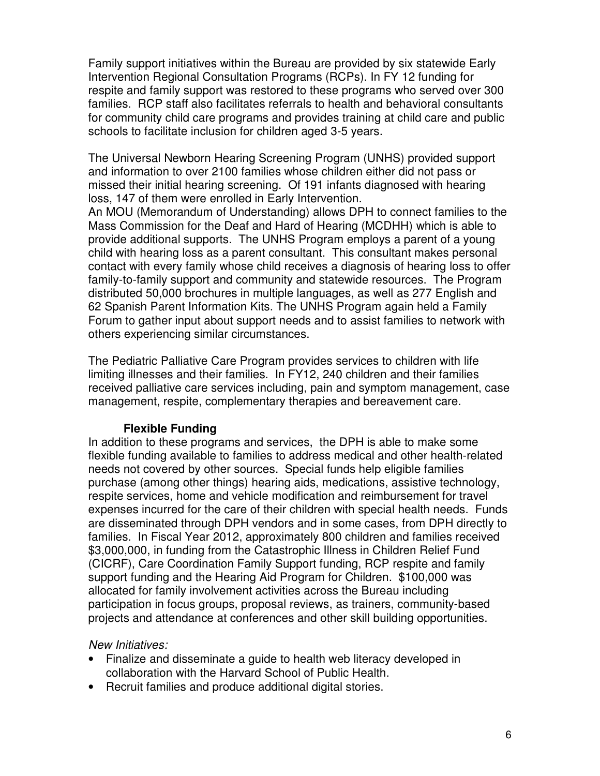Family support initiatives within the Bureau are provided by six statewide Early Intervention Regional Consultation Programs (RCPs). In FY 12 funding for respite and family support was restored to these programs who served over 300 families. RCP staff also facilitates referrals to health and behavioral consultants for community child care programs and provides training at child care and public schools to facilitate inclusion for children aged 3-5 years.

The Universal Newborn Hearing Screening Program (UNHS) provided support and information to over 2100 families whose children either did not pass or missed their initial hearing screening. Of 191 infants diagnosed with hearing loss, 147 of them were enrolled in Early Intervention.

An MOU (Memorandum of Understanding) allows DPH to connect families to the Mass Commission for the Deaf and Hard of Hearing (MCDHH) which is able to provide additional supports. The UNHS Program employs a parent of a young child with hearing loss as a parent consultant. This consultant makes personal contact with every family whose child receives a diagnosis of hearing loss to offer family-to-family support and community and statewide resources. The Program distributed 50,000 brochures in multiple languages, as well as 277 English and 62 Spanish Parent Information Kits. The UNHS Program again held a Family Forum to gather input about support needs and to assist families to network with others experiencing similar circumstances.

The Pediatric Palliative Care Program provides services to children with life limiting illnesses and their families. In FY12, 240 children and their families received palliative care services including, pain and symptom management, case management, respite, complementary therapies and bereavement care.

### **Flexible Funding**

In addition to these programs and services, the DPH is able to make some flexible funding available to families to address medical and other health-related needs not covered by other sources. Special funds help eligible families purchase (among other things) hearing aids, medications, assistive technology, respite services, home and vehicle modification and reimbursement for travel expenses incurred for the care of their children with special health needs. Funds are disseminated through DPH vendors and in some cases, from DPH directly to families. In Fiscal Year 2012, approximately 800 children and families received \$3,000,000, in funding from the Catastrophic Illness in Children Relief Fund (CICRF), Care Coordination Family Support funding, RCP respite and family support funding and the Hearing Aid Program for Children. \$100,000 was allocated for family involvement activities across the Bureau including participation in focus groups, proposal reviews, as trainers, community-based projects and attendance at conferences and other skill building opportunities.

### New Initiatives:

- Finalize and disseminate a guide to health web literacy developed in collaboration with the Harvard School of Public Health.
- Recruit families and produce additional digital stories.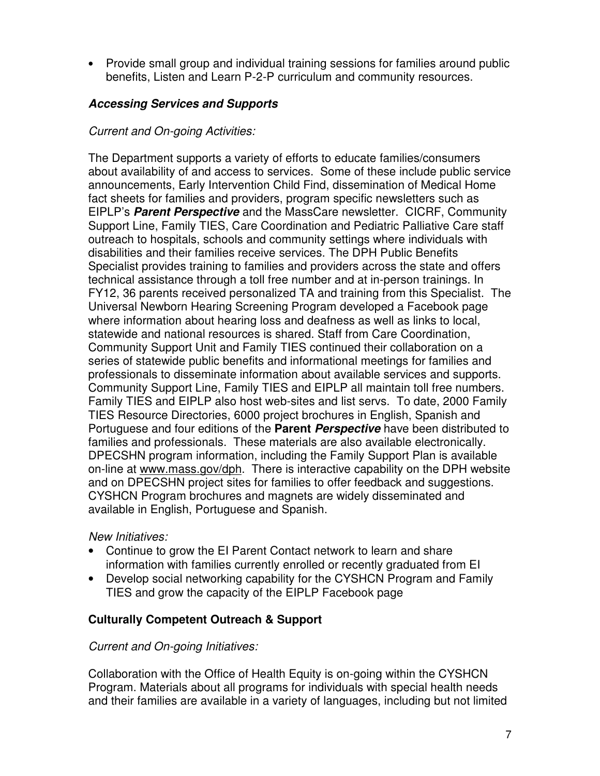• Provide small group and individual training sessions for families around public benefits, Listen and Learn P-2-P curriculum and community resources.

## **Accessing Services and Supports**

### Current and On-going Activities:

The Department supports a variety of efforts to educate families/consumers about availability of and access to services. Some of these include public service announcements, Early Intervention Child Find, dissemination of Medical Home fact sheets for families and providers, program specific newsletters such as EIPLP's **Parent Perspective** and the MassCare newsletter. CICRF, Community Support Line, Family TIES, Care Coordination and Pediatric Palliative Care staff outreach to hospitals, schools and community settings where individuals with disabilities and their families receive services. The DPH Public Benefits Specialist provides training to families and providers across the state and offers technical assistance through a toll free number and at in-person trainings. In FY12, 36 parents received personalized TA and training from this Specialist. The Universal Newborn Hearing Screening Program developed a Facebook page where information about hearing loss and deafness as well as links to local, statewide and national resources is shared. Staff from Care Coordination, Community Support Unit and Family TIES continued their collaboration on a series of statewide public benefits and informational meetings for families and professionals to disseminate information about available services and supports. Community Support Line, Family TIES and EIPLP all maintain toll free numbers. Family TIES and EIPLP also host web-sites and list servs. To date, 2000 Family TIES Resource Directories, 6000 project brochures in English, Spanish and Portuguese and four editions of the **Parent Perspective** have been distributed to families and professionals. These materials are also available electronically. DPECSHN program information, including the Family Support Plan is available on-line at www.mass.gov/dph. There is interactive capability on the DPH website and on DPECSHN project sites for families to offer feedback and suggestions. CYSHCN Program brochures and magnets are widely disseminated and available in English, Portuguese and Spanish.

### New Initiatives:

- Continue to grow the EI Parent Contact network to learn and share information with families currently enrolled or recently graduated from EI
- Develop social networking capability for the CYSHCN Program and Family TIES and grow the capacity of the EIPLP Facebook page

### **Culturally Competent Outreach & Support**

### Current and On-going Initiatives:

Collaboration with the Office of Health Equity is on-going within the CYSHCN Program. Materials about all programs for individuals with special health needs and their families are available in a variety of languages, including but not limited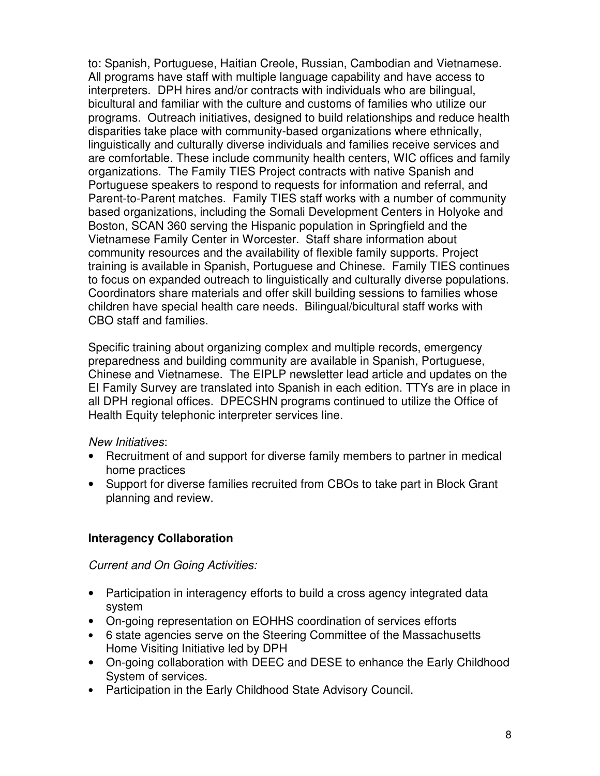to: Spanish, Portuguese, Haitian Creole, Russian, Cambodian and Vietnamese. All programs have staff with multiple language capability and have access to interpreters. DPH hires and/or contracts with individuals who are bilingual, bicultural and familiar with the culture and customs of families who utilize our programs. Outreach initiatives, designed to build relationships and reduce health disparities take place with community-based organizations where ethnically, linguistically and culturally diverse individuals and families receive services and are comfortable. These include community health centers, WIC offices and family organizations. The Family TIES Project contracts with native Spanish and Portuguese speakers to respond to requests for information and referral, and Parent-to-Parent matches. Family TIES staff works with a number of community based organizations, including the Somali Development Centers in Holyoke and Boston, SCAN 360 serving the Hispanic population in Springfield and the Vietnamese Family Center in Worcester. Staff share information about community resources and the availability of flexible family supports. Project training is available in Spanish, Portuguese and Chinese. Family TIES continues to focus on expanded outreach to linguistically and culturally diverse populations. Coordinators share materials and offer skill building sessions to families whose children have special health care needs. Bilingual/bicultural staff works with CBO staff and families.

Specific training about organizing complex and multiple records, emergency preparedness and building community are available in Spanish, Portuguese, Chinese and Vietnamese. The EIPLP newsletter lead article and updates on the EI Family Survey are translated into Spanish in each edition. TTYs are in place in all DPH regional offices. DPECSHN programs continued to utilize the Office of Health Equity telephonic interpreter services line.

### New Initiatives:

- Recruitment of and support for diverse family members to partner in medical home practices
- Support for diverse families recruited from CBOs to take part in Block Grant planning and review.

### **Interagency Collaboration**

### Current and On Going Activities:

- Participation in interagency efforts to build a cross agency integrated data system
- On-going representation on EOHHS coordination of services efforts
- 6 state agencies serve on the Steering Committee of the Massachusetts Home Visiting Initiative led by DPH
- On-going collaboration with DEEC and DESE to enhance the Early Childhood System of services.
- Participation in the Early Childhood State Advisory Council.